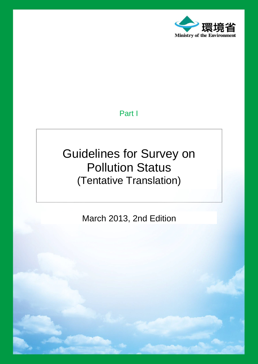

# Part I

# Guidelines for Survey on Pollution Status (Tentative Translation)

March 2013, 2nd Edition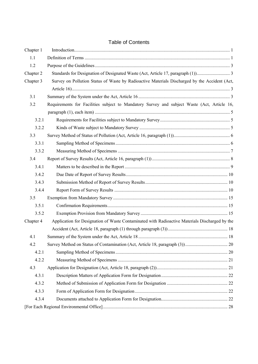# Table of Contents

| Chapter 1 |                                                                                                |  |
|-----------|------------------------------------------------------------------------------------------------|--|
| 1.1       |                                                                                                |  |
| 1.2       |                                                                                                |  |
| Chapter 2 |                                                                                                |  |
| Chapter 3 | Survey on Pollution Status of Waste by Radioactive Materials Discharged by the Accident (Act,  |  |
|           |                                                                                                |  |
| 3.1       |                                                                                                |  |
| 3.2       | Requirements for Facilities subject to Mandatory Survey and subject Waste (Act, Article 16,    |  |
|           |                                                                                                |  |
| 3.2.1     |                                                                                                |  |
| 3.2.2     |                                                                                                |  |
| 3.3       |                                                                                                |  |
| 3.3.1     |                                                                                                |  |
| 3.3.2     |                                                                                                |  |
| 3.4       |                                                                                                |  |
| 3.4.1     |                                                                                                |  |
| 3.4.2     |                                                                                                |  |
| 3.4.3     |                                                                                                |  |
| 3.4.4     |                                                                                                |  |
| 3.5       |                                                                                                |  |
| 3.5.1     |                                                                                                |  |
| 3.5.2     |                                                                                                |  |
| Chapter 4 | Application for Designation of Waste Contaminated with Radioactive Materials Discharged by the |  |
|           |                                                                                                |  |
| 4.1       |                                                                                                |  |
| 4.2       |                                                                                                |  |
| 4.2.1     |                                                                                                |  |
| 4.2.2     |                                                                                                |  |
| 4.3       |                                                                                                |  |
| 4.3.1     |                                                                                                |  |
| 4.3.2     |                                                                                                |  |
| 4.3.3     |                                                                                                |  |
| 4.3.4     |                                                                                                |  |
|           |                                                                                                |  |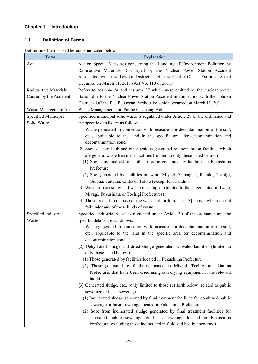# <span id="page-2-0"></span>**Chapter 1 Introduction**

### <span id="page-2-1"></span>**1.1 Definition of Terms**

Definition of terms used herein is indicated below.

| Term                         | Explanation                                                                                                         |
|------------------------------|---------------------------------------------------------------------------------------------------------------------|
| Act                          | Act on Special Measures concerning the Handling of Environment Pollution by                                         |
|                              | Radioactive Materials Discharged by the Nuclear Power Station Accident                                              |
|                              | Associated with the Tohoku District - Off the Pacific Ocean Earthquake that                                         |
|                              | Occurred on March 11, 2011 (Act No. 110 of 2011)                                                                    |
| <b>Radioactive Materials</b> | Refers to cesium-134 and cesium-137 which were emitted by the nuclear power                                         |
| Caused by the Accident       | station due to the Nuclear Power Station Accident in connection with the Tohoku                                     |
|                              | District - Off the Pacific Ocean Earthquake which occurred on March 11, 2011                                        |
| Waste Management Act         | Waste Management and Public Cleansing Act                                                                           |
| Specified Municipal          | Specified municipal solid waste is regulated under Article 28 of the ordinance and                                  |
| Solid Waste                  | the specific details are as follows.                                                                                |
|                              | [1] Waste generated in connection with measures for decontamination of the soil,                                    |
|                              | etc., applicable to the land in the specific area for decontamination and                                           |
|                              | decontamination zone.                                                                                               |
|                              | [2] Soot, dust and ash and other residue generated by incineration facilities which                                 |
|                              | are general waste treatment facilities (limited to only those listed below.)                                        |
|                              | (1) Soot, dust and ash and other residue generated by facilities in Fukushima                                       |
|                              | Prefecture                                                                                                          |
|                              | (2) Soot generated by facilities in Iwate, Miyagi, Yamagata, Ibaraki, Tochigi,                                      |
|                              | Gunma, Saitama, Chiba or Tokyo (except for islands)                                                                 |
|                              | [3] Waste of rice straw and waste of compost (limited to those generated in Iwate,                                  |
|                              | Miyagi, Fukushima or Tochigi Prefectures)                                                                           |
|                              | [4] Those treated to dispose of the waste set forth in $[1] \sim [3]$ above, which do not                           |
|                              | fall under any of these kinds of waste                                                                              |
| Specified Industrial         | Specified industrial waste is regulated under Article 30 of the ordinance and the                                   |
| Waste                        | specific details are as follows.                                                                                    |
|                              | [1] Waste generated in connection with measures for decontamination of the soil,                                    |
|                              | etc., applicable to the land in the specific area for decontamination and                                           |
|                              | decontamination zone.                                                                                               |
|                              | [2] Dehydrated sludge and dried sludge generated by water facilities (limited to                                    |
|                              | only those listed below.)                                                                                           |
|                              | (1) Those generated by facilities located in Fukushima Prefecture                                                   |
|                              | (2) Those generated by facilities located in Miyagi, Tochigi and Gunma                                              |
|                              | Prefectures that have been dried using sun drying equipment in the relevant<br>facilities                           |
|                              |                                                                                                                     |
|                              | [3] Generated sludge, etc., (only limited to those set forth below) related to public<br>sewerage or basin sewerage |
|                              | (1) Incinerated sludge generated by final treatment facilities for combined public                                  |
|                              | sewerage or basin sewerage located in Fukushima Prefecture                                                          |
|                              | (2) Soot from incinerated sludge generated by final treatment facilities for                                        |
|                              | separated public sewerage or basin sewerage located in Fukushima                                                    |
|                              | Prefecture (excluding those incinerated in fluidized bed incinerators.)                                             |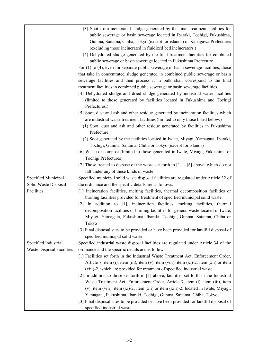|                                  | (3) Soot from incinerated sludge generated by the final treatment facilities for              |
|----------------------------------|-----------------------------------------------------------------------------------------------|
|                                  | public sewerage or basin sewerage located in Ibaraki, Tochigi, Fukushima,                     |
|                                  | Gunma, Saitama, Chiba, Tokyo (except for islands) or Kanagawa Prefectures                     |
|                                  | (excluding those incinerated in fluidized bed incinerators.)                                  |
|                                  | (4) Dehydrated sludge generated by the final treatment facilities for combined                |
|                                  | public sewerage or basin sewerage located in Fukushima Prefecture                             |
|                                  | For $(1)$ to $(4)$ , even for separate public sewerage or basin sewerage facilities, those    |
|                                  | that take in concentrated sludge generated in combined public sewerage or basin               |
|                                  | sewerage facilities and then process it in bulk shall correspond to the final                 |
|                                  | treatment facilities in combined public sewerage or basin sewerage facilities.                |
|                                  | [4] Dehydrated sludge and dried sludge generated by industrial water facilities               |
|                                  | (limited to those generated by facilities located in Fukushima and Tochigi                    |
|                                  | Prefectures.)                                                                                 |
|                                  | [5] Soot, dust and ash and other residue generated by incineration facilities which           |
|                                  | are industrial waste treatment facilities (limited to only those listed below.)               |
|                                  | (1) Soot, dust and ash and other residue generated by facilities in Fukushima                 |
|                                  | Prefecture                                                                                    |
|                                  | (2) Soot generated by the facilities located in Iwate, Miyagi, Yamagata, Ibaraki,             |
|                                  | Tochigi, Gunma, Saitama, Chiba or Tokyo (except for islands)                                  |
|                                  | [6] Waste of compost (limited to those generated in Iwate, Miyagi, Fukushima or               |
|                                  | Tochigi Prefectures)                                                                          |
|                                  | [7] Those treated to dispose of the waste set forth in $[1] \sim [6]$ above, which do not     |
|                                  | fall under any of these kinds of waste                                                        |
| Specified Municipal              | Specified municipal solid waste disposal facilities are regulated under Article 32 of         |
| Solid Waste Disposal             | the ordinance and the specific details are as follows.                                        |
| Facilities                       | [1] Incineration facilities, melting facilities, thermal decomposition facilities or          |
|                                  | burning facilities provided for treatment of specified municipal solid waste                  |
|                                  | In addition to [1], incineration facilities, melting facilities, thermal<br>$\lceil 2 \rceil$ |
|                                  | decomposition facilities or burning facilities for general waste located in Iwate,            |
|                                  | Miyagi, Yamagata, Fukushima, Ibaraki, Tochigi, Gunma, Saitama, Chiba or                       |
|                                  | Tokyo                                                                                         |
|                                  | [3] Final disposal sites to be provided or have been provided for landfill disposal of        |
|                                  | specified municipal solid waste                                                               |
| Specified Industrial             | Specified industrial waste disposal facilities are regulated under Article 34 of the          |
| <b>Waste Disposal Facilities</b> | ordinance and the specific details are as follows.                                            |
|                                  | [1] Facilities set forth in the Industrial Waste Treatment Act, Enforcement Order,            |
|                                  | Article 7, item (i), item (iii), item (v), item (viii), item (xi)-2, item (xii) or item       |
|                                  | (xiii)-2, which are provided for treatment of specified industrial waste                      |
|                                  | [2] In addition to those set forth in [1] above, facilities set forth in the Industrial       |
|                                  | Waste Treatment Act, Enforcement Order, Article 7, item (i), item (iii), item                 |
|                                  | (v), item (viii), item (xi)-2, item (xii) or item (xiii)-2, located in Iwate, Miyagi,         |
|                                  | Yamagata, Fukushima, Ibaraki, Tochigi, Gunma, Saitama, Chiba, Tokyo                           |
|                                  | [3] Final disposal sites to be provided or have been provided for landfill disposal of        |
|                                  | specified industrial waste                                                                    |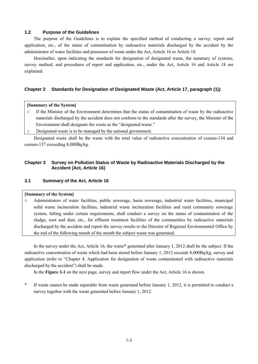### <span id="page-4-0"></span>**1.2 Purpose of the Guidelines**

 The purpose of the Guidelines is to explain the specified method of conducting a survey, report and application, etc., of the status of contamination by radioactive materials discharged by the accident by the administrator of water facilities and possessor of waste under the Act, Article 16 or Article 18.

 Hereinafter, upon indicating the standards for designation of designated waste, the summary of systems, survey method, and procedures of report and application, etc., under the Act, Article 16 and Article 18 are explained.

### <span id="page-4-1"></span>**Chapter 2 Standards for Designation of Designated Waste (Act, Article 17, paragraph (1))**

### **[Summary of the System]**

- If the Minister of the Environment determines that the status of contamination of waste by the radioactive materials discharged by the accident does not conform to the standards after the survey, the Minister of the Environment shall designate the waste as the "designated waste."
- Designated waste is to be managed by the national government.

 Designated waste shall be the waste with the total value of radioactive concentration of cesium-134 and cesium-137 exceeding 8,000Bq/kg.

### <span id="page-4-2"></span>**Chapter 3 Survey on Pollution Status of Waste by Radioactive Materials Discharged by the Accident (Act, Article 16)**

### <span id="page-4-3"></span>**3.1 Summary of the Act, Article 16**

### **[Summary of the System]**

○ Administrators of water facilities, public sewerage, basin sewerage, industrial water facilities, municipal solid waste incineration facilities, industrial waste incineration facilities and rural community sewerage system, falling under certain requirements, shall conduct a survey on the status of contamination of the sludge, soot and dust, etc., for effluent treatment facilities of the communities by radioactive materials discharged by the accident and report the survey results to the Director of Regional Environmental Office by the end of the following month of the month the subject waste was generated.

 In the survey under the Act, Article 16, the waste\* generated after January 1, 2012 shall be the subject. If the radioactive concentration of waste which had been stored before January 1, 2012 exceeds 8,000Bq/kg, survey and application (refer to "Chapter 4. Application for designation of waste contaminated with radioactive materials discharged by the accident") shall be made.

In the **Figure 3-1** on the next page, survey and report flow under the Act, Article 16 is shown.

\* If waste cannot be made separable from waste generated before January 1, 2012, it is permitted to conduct a survey together with the waste generated before January 1, 2012.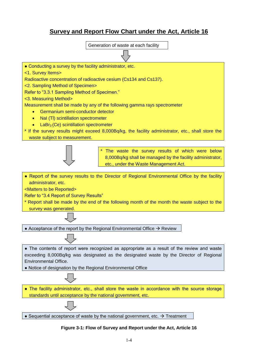# **Survey and Report Flow Chart under the Act, Article 16**



**Figure 3-1: Flow of Survey and Report under the Act, Article 16**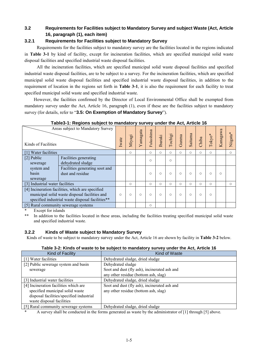### <span id="page-6-0"></span>**3.2 Requirements for Facilities subject to Mandatory Survey and subject Waste (Act, Article 16, paragraph (1), each item)**

### <span id="page-6-1"></span>**3.2.1 Requirements for Facilities subject to Mandatory Survey**

Requirements for the facilities subject to mandatory survey are the facilities located in the regions indicated in **Table 3-1** by kind of facility, except for incineration facilities, which are specified municipal solid waste disposal facilities and specified industrial waste disposal facilities.

 All the incineration facilities, which are specified municipal solid waste disposal facilities and specified industrial waste disposal facilities, are to be subject to a survey. For the incineration facilities, which are specified municipal solid waste disposal facilities and specified industrial waste disposal facilities, in addition to the requirement of location in the regions set forth in **Table 3-1**, it is also the requirement for each facility to treat specified municipal solid waste and specified industrial waste.

 However, the facilities confirmed by the Director of Local Environmental Office shall be exempted from mandatory survey under the Act, Article 16, paragraph (1), even if these are the facilities subject to mandatory survey (for details, refer to "**3.5: On Exemption of Mandatory Survey**").

| Areas subject to Mandatory Survey<br>Kinds of Facilities                                                                                              |                                                    | Iwate   | Miyagi     | Yamagata   | Fukushima  | <b>Ibaraki</b> | Tochigi    | Gunma      | Saitama    | Chiba      | $Tokyo*$ | Kanagawa   | Niigata* |
|-------------------------------------------------------------------------------------------------------------------------------------------------------|----------------------------------------------------|---------|------------|------------|------------|----------------|------------|------------|------------|------------|----------|------------|----------|
| Water facilities                                                                                                                                      |                                                    |         | $\circ$    |            | $\circ$    | $\circ$        | $\circ$    | $\bigcirc$ | 0          | $\bigcirc$ | O        |            | $\circ$  |
| [2] Public<br>sewerage                                                                                                                                | Facilities generating<br>dehydrated sludge         |         |            |            | $\bigcirc$ |                | $\bigcirc$ |            |            |            |          |            |          |
| system and<br><b>basin</b><br>sewerage                                                                                                                | Facilities generating soot and<br>dust and residue |         |            |            | Ω          | $\circ$        | $\bigcirc$ | $\bigcirc$ | $\bigcirc$ | $\bigcirc$ | $\circ$  | $\bigcirc$ |          |
| [3] Industrial water facilities                                                                                                                       |                                                    |         | $\circ$    |            | $\circ$    | $\bigcirc$     | $\circ$    | $\circ$    | $\circ$    | $\circ$    | O        |            | $\circ$  |
| [4] Incineration facilities, which are specified<br>municipal solid waste disposal facilities and<br>specified industrial waste disposal facilities** |                                                    | $\circ$ | $\bigcirc$ | $\bigcirc$ | $\bigcirc$ | $\circ$        | $\circ$    | $\circ$    | $\bigcirc$ | $\circ$    | O        |            |          |
| [5] Rural community sewerage systems                                                                                                                  |                                                    |         |            |            | $\circ$    |                |            |            |            |            |          |            |          |

**Table3-1: Regions subject to mandatory survey under the Act, Article 16** 

\* Except for islands<br>\*\* In addition to the

In addition to the facilities located in these areas, including the facilities treating specified municipal solid waste and specified industrial waste.

### <span id="page-6-2"></span>**3.2.2 Kinds of Waste subject to Mandatory Survey**

Kinds of waste to be subject to mandatory survey under the Act, Article 16 are shown by facility in **Table 3-2** below.

| Table 3-2: Kinds of waste to be subject to mandatory survey under the Act, Article 16 |  |
|---------------------------------------------------------------------------------------|--|
|---------------------------------------------------------------------------------------|--|

| Kind of Facility                         | Kind of Waste                                |
|------------------------------------------|----------------------------------------------|
| [1] Water facilities                     | Dehydrated sludge, dried sludge              |
| [2] Public sewerage system and basin     | Dehydrated sludge                            |
| sewerage                                 | Soot and dust (fly ash), incinerated ash and |
|                                          | any other residue (bottom ash, slag)         |
| [3] Industrial water facilities          | Dehydrated sludge, dried sludge              |
| [4] Incineration facilities which are    | Soot and dust (fly ash), incinerated ash and |
| specified municipal solid waste          | any other residue (bottom ash, slag)         |
| disposal facilities/specified industrial |                                              |
| waste disposal facilities                |                                              |
| [5] Rural community sewerage systems     | Dehydrated sludge, dried sludge              |

\* A survey shall be conducted in the forms generated as waste by the administrator of [1] through [5] above.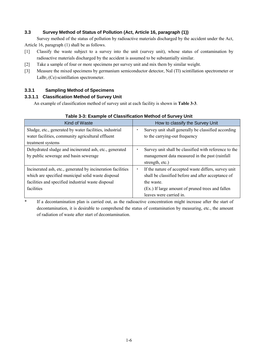### <span id="page-7-0"></span>**3.3 Survey Method of Status of Pollution (Act, Article 16, paragraph (1))**

 Survey method of the status of pollution by radioactive materials discharged by the accident under the Act, Article 16, paragraph (1) shall be as follows.

- [1] Classify the waste subject to a survey into the unit (survey unit), whose status of contamination by radioactive materials discharged by the accident is assumed to be substantially similar.
- [2] Take a sample of four or more specimens per survey unit and mix them by similar weight.
- [3] Measure the mixed specimens by germanium semiconductor detector, NaI (Tl) scintillation spectrometer or  $LaBr<sub>3</sub>(Ce)$  scintillation spectrometer.

### <span id="page-7-1"></span>**3.3.1 Sampling Method of Specimens**

### **3.3.1.1 Classification Method of Survey Unit**

An example of classification method of survey unit at each facility is shown in **Table 3-3**.

| Kind of Waste                                               | How to classify the Survey Unit                       |  |  |  |
|-------------------------------------------------------------|-------------------------------------------------------|--|--|--|
| Sludge, etc., generated by water facilities, industrial     | Survey unit shall generally be classified according   |  |  |  |
| water facilities, community agricultural effluent           | to the carrying-out frequency                         |  |  |  |
| treatment systems                                           |                                                       |  |  |  |
| Dehydrated sludge and incinerated ash, etc., generated      | Survey unit shall be classified with reference to the |  |  |  |
| by public sewerage and basin sewerage                       | management data measured in the past (rainfall)       |  |  |  |
|                                                             | strength, etc.)                                       |  |  |  |
| Incinerated ash, etc., generated by incineration facilities | If the nature of accepted waste differs, survey unit  |  |  |  |
| which are specified municipal solid waste disposal          | shall be classified before and after acceptance of    |  |  |  |
| facilities and specified industrial waste disposal          | the waste.                                            |  |  |  |
| facilities                                                  | (Ex.) If large amount of pruned trees and fallen      |  |  |  |
|                                                             | leaves were carried in.                               |  |  |  |

### **Table 3-3: Example of Classification Method of Survey Unit**

\* If a decontamination plan is carried out, as the radioactive concentration might increase after the start of decontamination, it is desirable to comprehend the status of contamination by measuring, etc., the amount of radiation of waste after start of decontamination.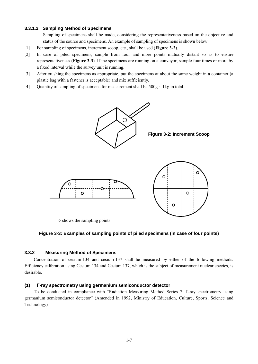### **3.3.1.2 Sampling Method of Specimens**

 Sampling of specimens shall be made, considering the representativeness based on the objective and status of the source and specimens. An example of sampling of specimens is shown below.

- [1] For sampling of specimens, increment scoop, etc., shall be used (**Figure 3-2**).
- [2] In case of piled specimens, sample from four and more points mutually distant so as to ensure representativeness (**Figure 3-3**). If the specimens are running on a conveyor, sample four times or more by a fixed interval while the survey unit is running.
- [3] After crushing the specimens as appropriate, put the specimens at about the same weight in a container (a plastic bag with a fastener is acceptable) and mix sufficiently.
- [4] Quantity of sampling of specimens for measurement shall be  $500g \sim 1kg$  in total.









○ shows the sampling points

### **Figure 3-3: Examples of sampling points of piled specimens (in case of four points)**

### <span id="page-8-0"></span>**3.3.2 Measuring Method of Specimens**

Concentration of cesium-134 and cesium-137 shall be measured by either of the following methods. Efficiency calibration using Cesium 134 and Cesium 137, which is the subject of measurement nuclear species, is desirable.

### **(1) Γ-ray spectrometry using germanium semiconductor detector**

To be conducted in compliance with "Radiation Measuring Method Series 7: Γ-ray spectrometry using germanium semiconductor detector" (Amended in 1992, Ministry of Education, Culture, Sports, Science and Technology)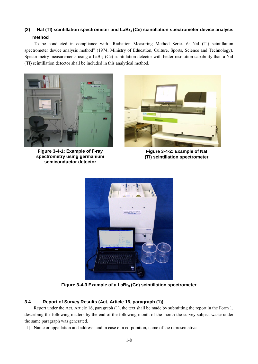# **(2) NaI (Tl) scintillation spectrometer and LaBr3 (Ce) scintillation spectrometer device analysis method**

To be conducted in compliance with "Radiation Measuring Method Series 6: NaI (Tl) scintillation spectrometer device analysis method" (1974, Ministry of Education, Culture, Sports, Science and Technology). Spectrometry measurements using a LaBr<sub>3</sub> (Ce) scintillation detector with better resolution capability than a NaI (TI) scintillation detector shall be included in this analytical method.



**Figure 3-4-1: Example of Γ-ray spectrometry using germanium semiconductor detector**



**Figure 3-4-2: Example of NaI (Tl) scintillation spectrometer**



**Figure 3-4-3 Example of a LaBr3 (Ce) scintillation spectrometer** 

### <span id="page-9-0"></span>**3.4 Report of Survey Results (Act, Article 16, paragraph (1))**

Report under the Act, Article 16, paragraph (1), the text shall be made by submitting the report in the Form 1, describing the following matters by the end of the following month of the month the survey subject waste under the same paragraph was generated.

[1] Name or appellation and address, and in case of a corporation, name of the representative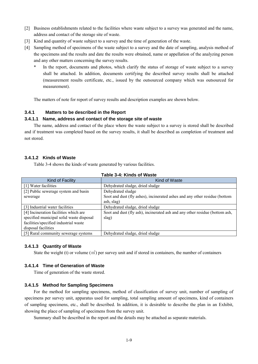- [2] Business establishments related to the facilities where waste subject to a survey was generated and the name, address and contact of the storage site of waste.
- [3] Kind and quantity of waste subject to a survey and the time of generation of the waste.
- [4] Sampling method of specimens of the waste subject to a survey and the date of sampling, analysis method of the specimens and the results and date the results were obtained, name or appellation of the analyzing person and any other matters concerning the survey results.
	- In the report, documents and photos, which clarify the status of storage of waste subject to a survey shall be attached. In addition, documents certifying the described survey results shall be attached (measurement results certificate, etc., issued by the outsourced company which was outsourced for measurement).

The matters of note for report of survey results and description examples are shown below.

### <span id="page-10-0"></span>**3.4.1 Matters to be described in the Report**

### **3.4.1.1 Name, address and contact of the storage site of waste**

The name, address and contact of the place where the waste subject to a survey is stored shall be described and if treatment was completed based on the survey results, it shall be described as completion of treatment and not stored.

### **3.4.1.2 Kinds of Waste**

Table 3-4 shows the kinds of waste generated by various facilities.

| TADIE J-4. KIIIUS UI WASLE               |                                                                             |  |  |  |  |
|------------------------------------------|-----------------------------------------------------------------------------|--|--|--|--|
| Kind of Facility                         | Kind of Waste                                                               |  |  |  |  |
| [1] Water facilities                     | Dehydrated sludge, dried sludge                                             |  |  |  |  |
| [2] Public sewerage system and basin     | Dehydrated sludge                                                           |  |  |  |  |
| sewerage                                 | Soot and dust (fly ashes), incinerated ashes and any other residue (bottom  |  |  |  |  |
|                                          | ash, slag)                                                                  |  |  |  |  |
| [3] Industrial water facilities          | Dehydrated sludge, dried sludge                                             |  |  |  |  |
| [4] Incineration facilities which are    | Soot and dust (fly ash), incinerated ash and any other residue (bottom ash, |  |  |  |  |
| specified municipal solid waste disposal | slag)                                                                       |  |  |  |  |
| facilities/specified industrial waste    |                                                                             |  |  |  |  |
| disposal facilities                      |                                                                             |  |  |  |  |
| [5] Rural community sewerage systems     | Dehydrated sludge, dried sludge                                             |  |  |  |  |

### **3.4.1.3 Quantity of Waste**

State the weight (t) or volume  $(m<sup>3</sup>)$  per survey unit and if stored in containers, the number of containers

### **3.4.1.4 Time of Generation of Waste**

Time of generation of the waste stored.

### **3.4.1.5 Method for Sampling Specimens**

For the method for sampling specimens, method of classification of survey unit, number of sampling of specimens per survey unit, apparatus used for sampling, total sampling amount of specimens, kind of containers of sampling specimens, etc., shall be described. In addition, it is desirable to describe the plan in an Exhibit, showing the place of sampling of specimens from the survey unit.

Summary shall be described in the report and the details may be attached as separate materials.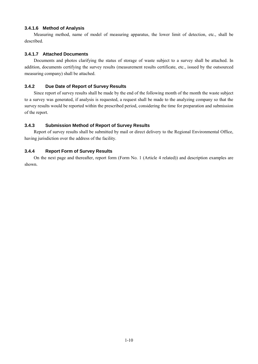### **3.4.1.6 Method of Analysis**

Measuring method, name of model of measuring apparatus, the lower limit of detection, etc., shall be described.

### **3.4.1.7 Attached Documents**

Documents and photos clarifying the status of storage of waste subject to a survey shall be attached. In addition, documents certifying the survey results (measurement results certificate, etc., issued by the outsourced measuring company) shall be attached.

### <span id="page-11-0"></span>**3.4.2 Due Date of Report of Survey Results**

Since report of survey results shall be made by the end of the following month of the month the waste subject to a survey was generated, if analysis is requested, a request shall be made to the analyzing company so that the survey results would be reported within the prescribed period, considering the time for preparation and submission of the report.

### <span id="page-11-1"></span>**3.4.3 Submission Method of Report of Survey Results**

Report of survey results shall be submitted by mail or direct delivery to the Regional Environmental Office, having jurisdiction over the address of the facility.

### <span id="page-11-2"></span>**3.4.4 Report Form of Survey Results**

On the next page and thereafter, report form (Form No. 1 (Article 4 related)) and description examples are shown.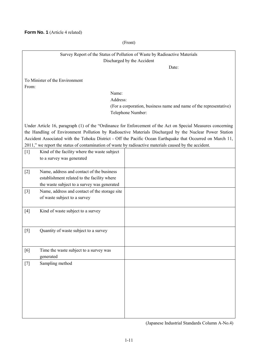(Front)

|       | Survey Report of the Status of Pollution of Waste by Radioactive Materials                             |                                                                                                             |  |  |  |  |
|-------|--------------------------------------------------------------------------------------------------------|-------------------------------------------------------------------------------------------------------------|--|--|--|--|
|       | Discharged by the Accident                                                                             |                                                                                                             |  |  |  |  |
|       | Date:                                                                                                  |                                                                                                             |  |  |  |  |
|       | To Minister of the Environment                                                                         |                                                                                                             |  |  |  |  |
| From: |                                                                                                        |                                                                                                             |  |  |  |  |
|       | Name:                                                                                                  |                                                                                                             |  |  |  |  |
|       | Address:                                                                                               |                                                                                                             |  |  |  |  |
|       |                                                                                                        | (For a corporation, business name and name of the representative)                                           |  |  |  |  |
|       |                                                                                                        | Telephone Number:                                                                                           |  |  |  |  |
|       |                                                                                                        | Under Article 16, paragraph (1) of the "Ordinance for Enforcement of the Act on Special Measures concerning |  |  |  |  |
|       |                                                                                                        | the Handling of Environment Pollution by Radioactive Materials Discharged by the Nuclear Power Station      |  |  |  |  |
|       |                                                                                                        | Accident Associated with the Tohoku District - Off the Pacific Ocean Earthquake that Occurred on March 11,  |  |  |  |  |
|       | 2011," we report the status of contamination of waste by radioactive materials caused by the accident. |                                                                                                             |  |  |  |  |
| $[1]$ | Kind of the facility where the waste subject                                                           |                                                                                                             |  |  |  |  |
|       | to a survey was generated                                                                              |                                                                                                             |  |  |  |  |
|       |                                                                                                        |                                                                                                             |  |  |  |  |
| $[2]$ | Name, address and contact of the business                                                              |                                                                                                             |  |  |  |  |
|       | establishment related to the facility where                                                            |                                                                                                             |  |  |  |  |
|       | the waste subject to a survey was generated                                                            |                                                                                                             |  |  |  |  |
| $[3]$ | Name, address and contact of the storage site                                                          |                                                                                                             |  |  |  |  |
|       | of waste subject to a survey                                                                           |                                                                                                             |  |  |  |  |
|       |                                                                                                        |                                                                                                             |  |  |  |  |
| $[4]$ | Kind of waste subject to a survey                                                                      |                                                                                                             |  |  |  |  |
|       |                                                                                                        |                                                                                                             |  |  |  |  |
|       |                                                                                                        |                                                                                                             |  |  |  |  |
| [5]   | Quantity of waste subject to a survey                                                                  |                                                                                                             |  |  |  |  |
|       |                                                                                                        |                                                                                                             |  |  |  |  |
| [6]   | Time the waste subject to a survey was                                                                 |                                                                                                             |  |  |  |  |
|       | generated                                                                                              |                                                                                                             |  |  |  |  |
| $[7]$ | Sampling method                                                                                        |                                                                                                             |  |  |  |  |
|       |                                                                                                        |                                                                                                             |  |  |  |  |
|       |                                                                                                        |                                                                                                             |  |  |  |  |
|       |                                                                                                        |                                                                                                             |  |  |  |  |
|       |                                                                                                        |                                                                                                             |  |  |  |  |
|       |                                                                                                        |                                                                                                             |  |  |  |  |
|       |                                                                                                        |                                                                                                             |  |  |  |  |
|       |                                                                                                        |                                                                                                             |  |  |  |  |
|       |                                                                                                        |                                                                                                             |  |  |  |  |

(Japanese Industrial Standards Column A-No.4)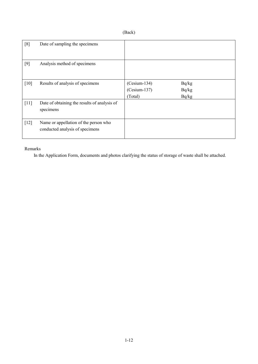## (Back)

| [8]    | Date of sampling the specimens                                           |                                             |                         |
|--------|--------------------------------------------------------------------------|---------------------------------------------|-------------------------|
| [9]    | Analysis method of specimens                                             |                                             |                         |
| [10]   | Results of analysis of specimens                                         | $(Cesium-134)$<br>$(Cesium-137)$<br>(Total) | Bq/kg<br>Bq/kg<br>Bq/kg |
| $[11]$ | Date of obtaining the results of analysis of<br>specimens                |                                             |                         |
| $[12]$ | Name or appellation of the person who<br>conducted analysis of specimens |                                             |                         |

### Remarks

In the Application Form, documents and photos clarifying the status of storage of waste shall be attached.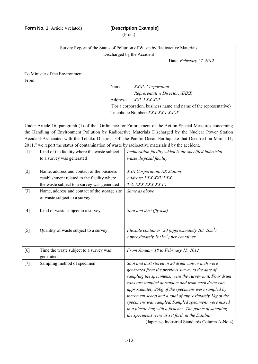**Form No. 1** (Article 4 related) **[Description Example]** 

(Front)

|       | Survey Report of the Status of Pollution of Waste by Radioactive Materials<br>Discharged by the Accident                                |                                                                                                                                                                                                                                                                                                                                                                                                                                                                                                                |  |  |  |  |  |
|-------|-----------------------------------------------------------------------------------------------------------------------------------------|----------------------------------------------------------------------------------------------------------------------------------------------------------------------------------------------------------------------------------------------------------------------------------------------------------------------------------------------------------------------------------------------------------------------------------------------------------------------------------------------------------------|--|--|--|--|--|
|       | Date: February 27, 2012                                                                                                                 |                                                                                                                                                                                                                                                                                                                                                                                                                                                                                                                |  |  |  |  |  |
| From: | To Minister of the Environment                                                                                                          |                                                                                                                                                                                                                                                                                                                                                                                                                                                                                                                |  |  |  |  |  |
|       | Name:<br>Address:                                                                                                                       | XXXX Corporation<br>Representative Director: XXXX<br>XXX XXX XXX<br>(For a corporation, business name and name of the representative)<br>Telephone Number: XXX-XXX-XXXX                                                                                                                                                                                                                                                                                                                                        |  |  |  |  |  |
|       | 2011," we report the status of contamination of waste by radioactive materials d by the accident.                                       | Under Article 16, paragraph (1) of the "Ordinance for Enforcement of the Act on Special Measures concerning<br>the Handling of Environment Pollution by Radioactive Materials Discharged by the Nuclear Power Station<br>Accident Associated with the Tohoku District - Off the Pacific Ocean Earthquake that Occurred on March 11,                                                                                                                                                                            |  |  |  |  |  |
| $[1]$ | Kind of the facility where the waste subject<br>to a survey was generated                                                               | Incineration facility which is the specified industrial<br>waste disposal facility                                                                                                                                                                                                                                                                                                                                                                                                                             |  |  |  |  |  |
| $[2]$ | Name, address and contact of the business<br>establishment related to the facility where<br>the waste subject to a survey was generated | XXX Corporation, XX Station<br>Address: XXX XXX XXX<br>Tel: XXX-XXX-XXXX                                                                                                                                                                                                                                                                                                                                                                                                                                       |  |  |  |  |  |
| $[3]$ | Name, address and contact of the storage site<br>of waste subject to a survey                                                           | Same as above                                                                                                                                                                                                                                                                                                                                                                                                                                                                                                  |  |  |  |  |  |
| $[4]$ | Kind of waste subject to a survey                                                                                                       | Soot and dust (fly ash)                                                                                                                                                                                                                                                                                                                                                                                                                                                                                        |  |  |  |  |  |
| $[5]$ | Quantity of waste subject to a survey                                                                                                   | Flexible container: 20 (approximately 20t, $20m^3$ )<br>Approximately 1t $(1m^3)$ per container                                                                                                                                                                                                                                                                                                                                                                                                                |  |  |  |  |  |
| [6]   | Time the waste subject to a survey was<br>generated                                                                                     | From January 18 to February 15, 2012                                                                                                                                                                                                                                                                                                                                                                                                                                                                           |  |  |  |  |  |
| $[7]$ | Sampling method of specimen                                                                                                             | Soot and dust stored in 20 drum cans, which were<br>generated from the previous survey to the date of<br>sampling the specimens, were the survey unit. Four drum<br>cans are sampled at random and from each drum can,<br>approximately 250g of the specimens were sampled by<br>increment scoop and a total of approximately 1kg of the<br>specimens was sampled. Sampled specimens were mixed<br>in a plastic bag with a fastener. The points of sampling<br>the specimens were as set forth in the Exhibit. |  |  |  |  |  |

(Japanese Industrial Standards Column A-No.4)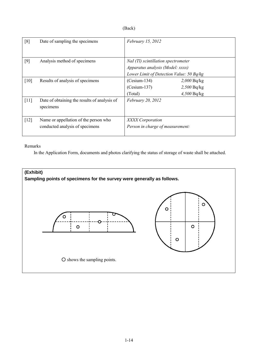| и<br>١ |
|--------|
|--------|

| [8]    | Date of sampling the specimens                                           | February 15, 2012                                                                                                   |                                                 |
|--------|--------------------------------------------------------------------------|---------------------------------------------------------------------------------------------------------------------|-------------------------------------------------|
| $[9]$  | Analysis method of specimens                                             | NaI (Tl) scintillation spectrometer<br>Apparatus analysis (Model: xxxx)<br>Lower Limit of Detection Value: 50 Bq/kg |                                                 |
| [10]   | Results of analysis of specimens                                         | $(Cesium-134)$<br>$(Cesium-137)$<br>(Total)                                                                         | $2,000$ Bq/kg<br>$2,500$ Bq/kg<br>$4,500$ Bq/kg |
| $[11]$ | Date of obtaining the results of analysis of<br>specimens                | February 20, 2012                                                                                                   |                                                 |
| $[12]$ | Name or appellation of the person who<br>conducted analysis of specimens | XXXX Corporation<br>Person in charge of measurement:                                                                |                                                 |

### Remarks

In the Application Form, documents and photos clarifying the status of storage of waste shall be attached.

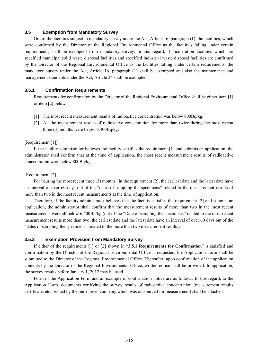### <span id="page-16-0"></span>**3.5 Exemption from Mandatory Survey**

 Out of the facilities subject to mandatory survey under the Act, Article 16, paragraph (1), the facilities, which were confirmed by the Director of the Regional Environmental Office as the facilities falling under certain requirements, shall be exempted from mandatory survey. In this regard, if incineration facilities which are specified municipal solid waste disposal facilities and specified industrial waste disposal facilities are confirmed by the Director of the Regional Environmental Office as the facilities falling under certain requirements, the mandatory survey under the Act, Article 16, paragraph (1) shall be exempted and also the maintenance and management standards under the Act, Article 24 shall be exempted.

### <span id="page-16-1"></span>**3.5.1 Confirmation Requirements**

Requirements for confirmation by the Director of the Regional Environmental Office shall be either item [1] or item [2] below.

- [1] The most recent measurement results of radioactive concentration was below 800Bq/kg.
- [2] All the measurement results of radioactive concentration for more than twice during the most recent three (3) months were below 6,400Bq/kg.

### [Requirement [1]]

 If the facility administrator believes the facility satisfies the requirement [1] and submits an application, the administrator shall confirm that at the time of application, the most recent measurement results of radioactive concentration were below 800Bq/kg.

### [Requirement [2]]

For "during the most recent three (3) months" in the requirement [2], the earliest date and the latest date have an interval of over 60 days out of the "dates of sampling the specimens" related to the measurement results of more than two in the most recent measurements at the time of application.

 Therefore, if the facility administrator believes that the facility satisfies the requirement [2] and submits an application, the administrator shall confirm that the measurement results of more than two in the most recent measurements were all below 6,400Bq/kg (out of the "Date of sampling the specimens" related to the most recent measurement results more than two, the earliest date and the latest date have an interval of over 60 days out of the "dates of sampling the specimens" related to the more than two measurement results).

### <span id="page-16-2"></span>**3.5.2 Exemption Provision from Mandatory Survey**

If either of the requirements [1] or [2] shown in "**3.5.1 Requirements for Confirmation**" is satisfied and confirmation by the Director of the Regional Environmental Office is requested, the Application Form shall be submitted to the Director of the Regional Environmental Office. Thereafter, upon confirmation of the application contents by the Director of the Regional Environmental Office, written notice shall be provided. In application, the survey results before January 1, 2012 may be used.

 Form of the Application Form and an example of confirmation notice are as follows. In this regard, to the Application Form, documents certifying the survey results of radioactive concentration (measurement results certificate, etc., issued by the outsourced company which was outsourced for measurement) shall be attached.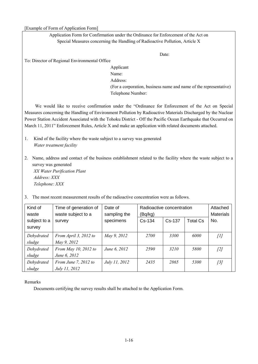[Example of Form of Application Form]

Application Form for Confirmation under the Ordinance for Enforcement of the Act on Special Measures concerning the Handling of Radioactive Pollution, Article X

Date:

To: Director of Regional Environmental Office

Applicant Name: Address: (For a corporation, business name and name of the representative) Telephone Number:

We would like to receive confirmation under the "Ordinance for Enforcement of the Act on Special Measures concerning the Handling of Environment Pollution by Radioactive Materials Discharged by the Nuclear Power Station Accident Associated with the Tohoku District - Off the Pacific Ocean Earthquake that Occurred on March 11, 2011" Enforcement Rules, Article X and make an application with related documents attached.

- 1. Kind of the facility where the waste subject to a survey was generated *Water treatment facility*
- 2. Name, address and contact of the business establishment related to the facility where the waste subject to a survey was generated *XX Water Purification Plant Address: XXX*

*Telephone: XXX*

3. The most recent measurement results of the radioactive concentration were as follows.

| Kind of<br>waste       | Time of generation of<br>waste subject to a  | Date of<br>sampling the | Radioactive concentration<br>(Bq/kg) |             | Attached<br><b>Materials</b> |       |
|------------------------|----------------------------------------------|-------------------------|--------------------------------------|-------------|------------------------------|-------|
| subject to a<br>survey | survey                                       | specimens               | $Cs-134$                             | Cs-137      | <b>Total Cs</b>              | No.   |
| Dehydrated<br>sludge   | From April 3, 2012 to<br>May 9, 2012         | May 9, 2012             | <i>2700</i>                          | <b>3300</b> | 6000                         | [1]   |
| Dehydrated<br>sludge   | From May 10, 2012 to<br>June 6, 2012         | June 6, 2012            | 2590                                 | 3210        | 5800                         | $[2]$ |
| Dehydrated<br>sludge   | From June 7, 2012 to<br><i>July 11, 2012</i> | July 11, 2012           | 2435                                 | 2865        | 5300                         | [3]   |

Remarks

Documents certifying the survey results shall be attached to the Application Form.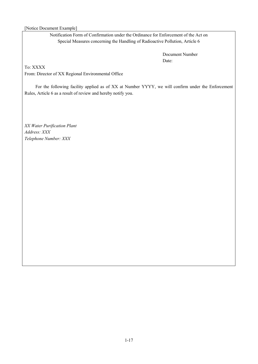### [Notice Document Example]

Notification Form of Confirmation under the Ordinance for Enforcement of the Act on Special Measures concerning the Handling of Radioactive Pollution, Article 6

> Document Number Date:

To: XXXX

From: Director of XX Regional Environmental Office

For the following facility applied as of XX at Number YYYY, we will confirm under the Enforcement Rules, Article 6 as a result of review and hereby notify you.

*XX Water Purification Plant Address: XXX Telephone Number: XXX*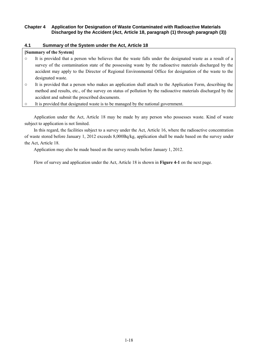### <span id="page-19-0"></span>**Chapter 4 Application for Designation of Waste Contaminated with Radioactive Materials Discharged by the Accident (Act, Article 18, paragraph (1) through paragraph (3))**

### <span id="page-19-1"></span>**4.1 Summary of the System under the Act, Article 18**

### **[Summary of the System]**

- It is provided that a person who believes that the waste falls under the designated waste as a result of a survey of the contamination state of the possessing waste by the radioactive materials discharged by the accident may apply to the Director of Regional Environmental Office for designation of the waste to the designated waste.
- It is provided that a person who makes an application shall attach to the Application Form, describing the method and results, etc., of the survey on status of pollution by the radioactive materials discharged by the accident and submit the prescribed documents.
- It is provided that designated waste is to be managed by the national government.

 Application under the Act, Article 18 may be made by any person who possesses waste. Kind of waste subject to application is not limited.

 In this regard, the facilities subject to a survey under the Act, Article 16, where the radioactive concentration of waste stored before January 1, 2012 exceeds 8,000Bq/kg, application shall be made based on the survey under the Act, Article 18.

Application may also be made based on the survey results before January 1, 2012.

Flow of survey and application under the Act, Article 18 is shown in **Figure 4-1** on the next page.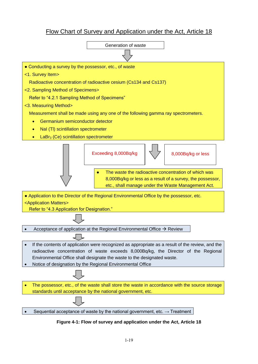# Flow Chart of Survey and Application under the Act, Article 18



**Figure 4-1: Flow of survey and application under the Act, Article 18**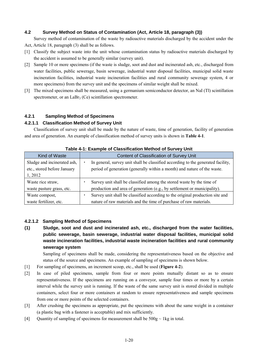### <span id="page-21-0"></span>**4.2 Survey Method on Status of Contamination (Act, Article 18, paragraph (3))**

Survey method of contamination of the waste by radioactive materials discharged by the accident under the Act, Article 18, paragraph (3) shall be as follows.

- [1] Classify the subject waste into the unit whose contamination status by radioactive materials discharged by the accident is assumed to be generally similar (survey unit).
- [2] Sample 10 or more specimens (if the waste is sludge, soot and dust and incinerated ash, etc., discharged from water facilities, public sewerage, basin sewerage, industrial water disposal facilities, municipal solid waste incineration facilities, industrial waste incineration facilities and rural community sewerage system, 4 or more specimens) from the survey unit and the specimens of similar weight shall be mixed.
- [3] The mixed specimens shall be measured, using a germanium semiconductor detector, an NaI (Tl) scintillation spectrometer, or an LaBr<sub>3</sub> (Ce) scintillation spectrometer.

### <span id="page-21-1"></span>**4.2.1 Sampling Method of Specimens**

### **4.2.1.1 Classification Method of Survey Unit**

Classification of survey unit shall be made by the nature of waste, time of generation, facility of generation and area of generation. An example of classification method of survey units is shown in **Table 4-1**.

| rable 4-1. Example of Glassification Method of Survey Only |                                                                                  |  |  |  |
|------------------------------------------------------------|----------------------------------------------------------------------------------|--|--|--|
| Kind of Waste                                              | Content of Classification of Survey Unit                                         |  |  |  |
| Sludge and incinerated ash,                                | In general, survey unit shall be classified according to the generated facility, |  |  |  |
| etc., stored before January                                | period of generation (generally within a month) and nature of the waste.         |  |  |  |
| 1, 2012                                                    |                                                                                  |  |  |  |
| Waste rice straw,                                          | Survey unit shall be classified among the stored waste by the time of            |  |  |  |
| waste pasture grass, etc.                                  | production and area of generation (e.g., by settlement or municipality).         |  |  |  |
| Waste compost,                                             | Survey unit shall be classified according to the original production site and    |  |  |  |
| waste fertilizer, etc.                                     | nature of raw materials and the time of purchase of raw materials.               |  |  |  |

### **Table 4-1: Example of Classification Method of Survey Unit**

### **4.2.1.2 Sampling Method of Specimens**

**(1) Sludge, soot and dust and incinerated ash, etc., discharged from the water facilities, public sewerage, basin sewerage, industrial water disposal facilities, municipal solid waste incineration facilities, industrial waste incineration facilities and rural community sewerage system** 

Sampling of specimens shall be made, considering the representativeness based on the objective and status of the source and specimens. An example of sampling of specimens is shown below.

- [1] For sampling of specimens, an increment scoop, etc., shall be used (**Figure 4-2**).
- [2] In case of piled specimens, sample from four or more points mutually distant so as to ensure representativeness. If the specimens are running on a conveyor, sample four times or more by a certain interval while the survey unit is running. If the waste of the same survey unit is stored divided in multiple containers, select four or more containers at random to ensure representativeness and sample specimens from one or more points of the selected containers.
- [3] After crushing the specimens as appropriate, put the specimens with about the same weight in a container (a plastic bag with a fastener is acceptable) and mix sufficiently.
- [4] Quantity of sampling of specimens for measurement shall be  $500g \sim 1kg$  in total.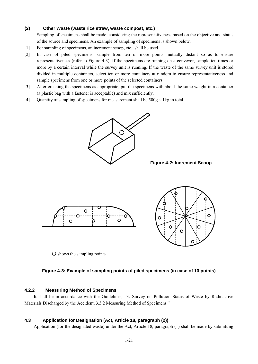### **(2) Other Waste (waste rice straw, waste compost, etc.)**

Sampling of specimens shall be made, considering the representativeness based on the objective and status of the source and specimens. An example of sampling of specimens is shown below.

- [1] For sampling of specimens, an increment scoop, etc., shall be used.
- [2] In case of piled specimens, sample from ten or more points mutually distant so as to ensure representativeness (refer to Figure 4-3). If the specimens are running on a conveyor, sample ten times or more by a certain interval while the survey unit is running. If the waste of the same survey unit is stored divided in multiple containers, select ten or more containers at random to ensure representativeness and sample specimens from one or more points of the selected containers.
- [3] After crushing the specimens as appropriate, put the specimens with about the same weight in a container (a plastic bag with a fastener is acceptable) and mix sufficiently.
- [4] Quantity of sampling of specimens for measurement shall be  $500g \sim 1kg$  in total.



**Figure 4-2: Increment Scoop** 





○ shows the sampling points

### **Figure 4-3: Example of sampling points of piled specimens (in case of 10 points)**

### <span id="page-22-0"></span>**4.2.2 Measuring Method of Specimens**

It shall be in accordance with the Guidelines, "3. Survey on Pollution Status of Waste by Radioactive Materials Discharged by the Accident, 3.3.2 Measuring Method of Specimens."

### <span id="page-22-1"></span>**4.3 Application for Designation (Act, Article 18, paragraph (2))**

Application (for the designated waste) under the Act, Article 18, paragraph (1) shall be made by submitting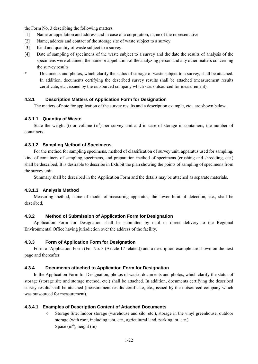the Form No. 3 describing the following matters.

- [1] Name or appellation and address and in case of a corporation, name of the representative
- [2] Name, address and contact of the storage site of waste subject to a survey
- [3] Kind and quantity of waste subject to a survey
- [4] Date of sampling of specimens of the waste subject to a survey and the date the results of analysis of the specimens were obtained, the name or appellation of the analyzing person and any other matters concerning the survey results
- Documents and photos, which clarify the status of storage of waste subject to a survey, shall be attached. In addition, documents certifying the described survey results shall be attached (measurement results certificate, etc., issued by the outsourced company which was outsourced for measurement).

### <span id="page-23-0"></span>**4.3.1 Description Matters of Application Form for Designation**

The matters of note for application of the survey results and a description example, etc., are shown below.

### **4.3.1.1 Quantity of Waste**

State the weight (t) or volume  $(m<sup>3</sup>)$  per survey unit and in case of storage in containers, the number of containers.

### **4.3.1.2 Sampling Method of Specimens**

For the method for sampling specimens, method of classification of survey unit, apparatus used for sampling, kind of containers of sampling specimens, and preparation method of specimens (crushing and shredding, etc.) shall be described. It is desirable to describe in Exhibit the plan showing the points of sampling of specimens from the survey unit.

Summary shall be described in the Application Form and the details may be attached as separate materials.

### **4.3.1.3 Analysis Method**

Measuring method, name of model of measuring apparatus, the lower limit of detection, etc., shall be described.

### <span id="page-23-1"></span>**4.3.2 Method of Submission of Application Form for Designation**

Application Form for Designation shall be submitted by mail or direct delivery to the Regional Environmental Office having jurisdiction over the address of the facility.

### <span id="page-23-2"></span>**4.3.3 Form of Application Form for Designation**

Form of Application Form (For No. 3 (Article 17 related)) and a description example are shown on the next page and thereafter.

### <span id="page-23-3"></span>**4.3.4 Documents attached to Application Form for Designation**

In the Application Form for Designation, photos of waste, documents and photos, which clarify the status of storage (storage site and storage method, etc.) shall be attached. In addition, documents certifying the described survey results shall be attached (measurement results certificate, etc., issued by the outsourced company which was outsourced for measurement).

### **4.3.4.1 Examples of Description Content of Attached Documents**

○ Storage Site: Indoor storage (warehouse and silo, etc.), storage in the vinyl greenhouse, outdoor storage (with roof, including tent, etc., agricultural land, parking lot, etc.) Space  $(m^2)$ , height  $(m)$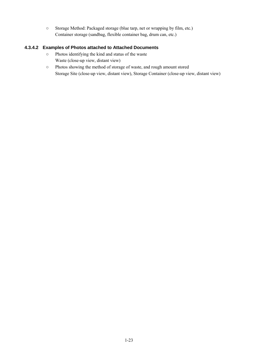○ Storage Method: Packaged storage (blue tarp, net or wrapping by film, etc.) Container storage (sandbag, flexible container bag, drum can, etc.)

### **4.3.4.2 Examples of Photos attached to Attached Documents**

- Photos identifying the kind and status of the waste Waste (close-up view, distant view)
- Photos showing the method of storage of waste, and rough amount stored Storage Site (close-up view, distant view), Storage Container (close-up view, distant view)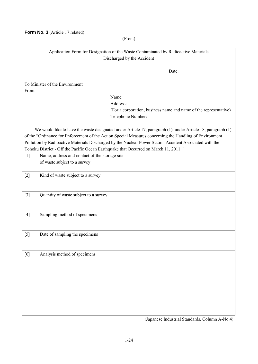**Form No. 3** (Article 17 related)

(Front)

### Application Form for Designation of the Waste Contaminated by Radioactive Materials Discharged by the Accident

Date:

To Minister of the Environment From:

Name:

Address: (For a corporation, business name and name of the representative) Telephone Number:

We would like to have the waste designated under Article 17, paragraph (1), under Article 18, paragraph (1) of the "Ordinance for Enforcement of the Act on Special Measures concerning the Handling of Environment Pollution by Radioactive Materials Discharged by the Nuclear Power Station Accident Associated with the Tohoku District - Off the Pacific Ocean Earthquake that Occurred on March 11, 2011."

| $[1] % \centering \includegraphics[width=0.9\columnwidth]{figures/fig_10.pdf} \caption{The graph $\mathcal{N}_1$ is a function of the number of times, and the number of times, and the number of times, are indicated in the number of times, and the number of times, are indicated in the number of times, and the number of times, are indicated in the number of times, and the number of times, are indicated in the number of times, and the number of times, are indicated in the number of times, and the number of times, are indicated in the number of times, and the number of times, are indicated in the number of times, and the number of times, are indicated in the number of times, and the number of times, are indicated in the number of times, and the number of times, are indicated in the number of times, and the number of times, are indicated in the number of times, and the number of times, are indicated in the$ | Name, address and contact of the storage site<br>of waste subject to a survey |  |
|-----------------------------------------------------------------------------------------------------------------------------------------------------------------------------------------------------------------------------------------------------------------------------------------------------------------------------------------------------------------------------------------------------------------------------------------------------------------------------------------------------------------------------------------------------------------------------------------------------------------------------------------------------------------------------------------------------------------------------------------------------------------------------------------------------------------------------------------------------------------------------------------------------------------------------------------------------|-------------------------------------------------------------------------------|--|
| $[2]$                                                                                                                                                                                                                                                                                                                                                                                                                                                                                                                                                                                                                                                                                                                                                                                                                                                                                                                                               | Kind of waste subject to a survey                                             |  |
| $[3]$                                                                                                                                                                                                                                                                                                                                                                                                                                                                                                                                                                                                                                                                                                                                                                                                                                                                                                                                               | Quantity of waste subject to a survey                                         |  |
| $[4]$                                                                                                                                                                                                                                                                                                                                                                                                                                                                                                                                                                                                                                                                                                                                                                                                                                                                                                                                               | Sampling method of specimens                                                  |  |
| $[5]$                                                                                                                                                                                                                                                                                                                                                                                                                                                                                                                                                                                                                                                                                                                                                                                                                                                                                                                                               | Date of sampling the specimens                                                |  |
| [6]                                                                                                                                                                                                                                                                                                                                                                                                                                                                                                                                                                                                                                                                                                                                                                                                                                                                                                                                                 | Analysis method of specimens                                                  |  |

(Japanese Industrial Standards, Column A-No.4)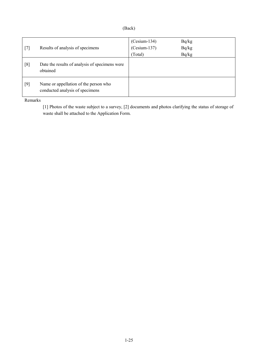| $\lambda$ |
|-----------|
|-----------|

| $[7]$ | Results of analysis of specimens                                         | $(Cesium-134)$<br>$(Cesium-137)$<br>(Total) | Bq/kg<br>Bq/kg<br>Bq/kg |
|-------|--------------------------------------------------------------------------|---------------------------------------------|-------------------------|
| [8]   | Date the results of analysis of specimens were<br>obtained               |                                             |                         |
| $[9]$ | Name or appellation of the person who<br>conducted analysis of specimens |                                             |                         |

Remarks

[1] Photos of the waste subject to a survey, [2] documents and photos clarifying the status of storage of waste shall be attached to the Application Form.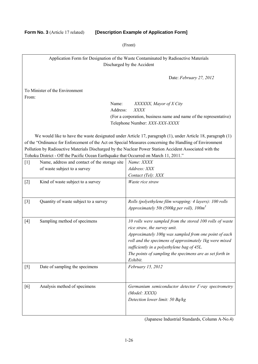### **Form No. 3** (Article 17 related) **[Description Example of Application Form]**

### (Front)

Application Form for Designation of the Waste Contaminated by Radioactive Materials Discharged by the Accident

Date: *February 27, 2012*

To Minister of the Environment From:

> Name: *XXXXXX, Mayor of X City* Address: *XXXX* (For a corporation, business name and name of the representative) Telephone Number: *XXX-XXX-XXXX*

We would like to have the waste designated under Article 17, paragraph (1), under Article 18, paragraph (1) of the "Ordinance for Enforcement of the Act on Special Measures concerning the Handling of Environment Pollution by Radioactive Materials Discharged by the Nuclear Power Station Accident Associated with the Tohoku District - Off the Pacific Ocean Earthquake that Occurred on March 11, 2011."

| $[1]$ | Name, address and contact of the storage site | Name: XXXX                                                                                                                                                                                                                                                                                                                        |
|-------|-----------------------------------------------|-----------------------------------------------------------------------------------------------------------------------------------------------------------------------------------------------------------------------------------------------------------------------------------------------------------------------------------|
|       | of waste subject to a survey                  | Address: XXX                                                                                                                                                                                                                                                                                                                      |
|       |                                               | Contact (Tel): XXX                                                                                                                                                                                                                                                                                                                |
| $[2]$ | Kind of waste subject to a survey             | Waste rice straw                                                                                                                                                                                                                                                                                                                  |
| $[3]$ | Quantity of waste subject to a survey         | Rolls (polyethylene film wrapping: 4 layers): 100 rolls<br>Approximately 50t (500kg per roll), $100m^3$                                                                                                                                                                                                                           |
| $[4]$ | Sampling method of specimens                  | 10 rolls were sampled from the stored 100 rolls of waste<br>rice straw, the survey unit.<br>Approximately 100g was sampled from one point of each<br>roll and the specimens of approximately 1kg were mixed<br>sufficiently in a polyethylene bag of 45L.<br>The points of sampling the specimens are as set forth in<br>Exhibit. |
| $[5]$ | Date of sampling the specimens                | February 15, 2012                                                                                                                                                                                                                                                                                                                 |
| [6]   | Analysis method of specimens                  | Germanium semiconductor detector $\Gamma$ -ray spectrometry<br>(Model: XXXX)<br>Detection lower limit: 50 Bq/kg                                                                                                                                                                                                                   |

(Japanese Industrial Standards, Column A-No.4)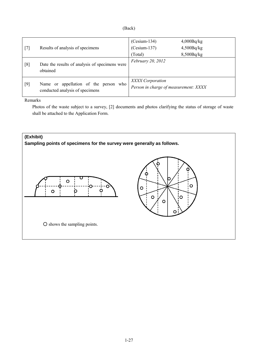| ۰'n<br>U<br>ı |
|---------------|
|---------------|

| $\lceil 7 \rceil$ | Results of analysis of specimens                                         | $(Cesium-134)$<br>$(Cesium-137)$<br>(Total)               | 4,000Bq/kg<br>4,500Bq/kg<br>8,500Bq/kg |
|-------------------|--------------------------------------------------------------------------|-----------------------------------------------------------|----------------------------------------|
| [8]               | Date the results of analysis of specimens were<br>obtained               | February 20, 2012                                         |                                        |
| $[9]$             | Name or appellation of the person who<br>conducted analysis of specimens | XXXX Corporation<br>Person in charge of measurement: XXXX |                                        |

Remarks

Photos of the waste subject to a survey, [2] documents and photos clarifying the status of storage of waste shall be attached to the Application Form.

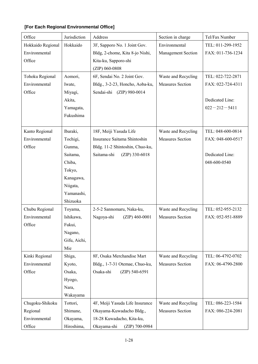<span id="page-29-0"></span>

| [For Each Regional Environmental Office] |
|------------------------------------------|
|------------------------------------------|

| Office            | Jurisdiction | Address                         | Section in charge         | Tel/Fax Number     |
|-------------------|--------------|---------------------------------|---------------------------|--------------------|
| Hokkaido Regional | Hokkaido     | 3F, Sapporo No. 1 Joint Gov.    | Environmental             | TEL: 011-299-1952  |
| Environmental     |              | Bldg, 2-chome, Kita 8-jo Nishi, | <b>Management Section</b> | FAX: 011-736-1234  |
| Office            |              | Kita-ku, Sapporo-shi            |                           |                    |
|                   |              | (ZIP) 060-0808                  |                           |                    |
| Tohoku Regional   | Aomori,      | 6F, Sendai No. 2 Joint Gov.     | Waste and Recycling       | TEL: 022-722-2871  |
| Environmental     | Iwate,       | Bldg., 3-2-23, Honcho, Aoba-ku, | <b>Measures Section</b>   | FAX: 022-724-4311  |
| Office            | Miyagi,      | Sendai-shi (ZIP) 980-0014       |                           |                    |
|                   | Akita,       |                                 |                           | Dedicated Line:    |
|                   | Yamagata,    |                                 |                           | $022 - 212 - 5411$ |
|                   | Fukushima    |                                 |                           |                    |
|                   |              |                                 |                           |                    |
| Kanto Regional    | Ibaraki,     | 18F, Meiji Yasuda Life          | Waste and Recycling       | TEL: 048-600-0814  |
| Environmental     | Tochigi,     | Insurance Saitama Shintoshin    | <b>Measures Section</b>   | FAX: 048-600-0517  |
| Office            | Gunma,       | Bldg. 11-2 Shintoshin, Chuo-ku, |                           |                    |
|                   | Saitama,     | (ZIP) 330-6018<br>Saitama-shi   |                           | Dedicated Line:    |
|                   | Chiba,       |                                 |                           | 048-600-0540       |
|                   | Tokyo,       |                                 |                           |                    |
|                   | Kanagawa,    |                                 |                           |                    |
|                   | Niigata,     |                                 |                           |                    |
|                   | Yamanashi,   |                                 |                           |                    |
|                   | Shizuoka     |                                 |                           |                    |
| Chubu Regional    | Toyama,      | 2-5-2 Sannomaru, Naka-ku,       | Waste and Recycling       | TEL: 052-955-2132  |
| Environmental     | Ishikawa,    | Nagoya-shi<br>$(ZIP)$ 460-0001  | <b>Measures Section</b>   | FAX: 052-951-8889  |
| Office            | Fukui,       |                                 |                           |                    |
|                   | Nagano,      |                                 |                           |                    |
|                   | Gifu, Aichi, |                                 |                           |                    |
|                   | Mie          |                                 |                           |                    |
| Kinki Regional    | Shiga,       | 8F, Osaka Merchandise Mart      | Waste and Recycling       | TEL: 06-4792-0702  |
| Environmental     | Kyoto,       | Bldg., 1-7-31 Otemae, Chuo-ku,  | <b>Measures Section</b>   | FAX: 06-4790-2800  |
| Office            | Osaka,       | Osaka-shi<br>(ZIP) 540-6591     |                           |                    |
|                   | Hyogo,       |                                 |                           |                    |
|                   | Nara,        |                                 |                           |                    |
|                   | Wakayama     |                                 |                           |                    |
| Chugoku-Shikoku   | Tottori,     | 4F, Meiji Yasuda Life Insurance | Waste and Recycling       | TEL: 086-223-1584  |
| Regional          | Shimane,     | Okayama-Kuwadacho Bldg.,        | <b>Measures Section</b>   | FAX: 086-224-2081  |
| Environmental     | Okayama,     | 18-28 Kuwadacho, Kita-ku,       |                           |                    |
| Office            | Hiroshima,   | Okayama-shi<br>(ZIP) 700-0984   |                           |                    |